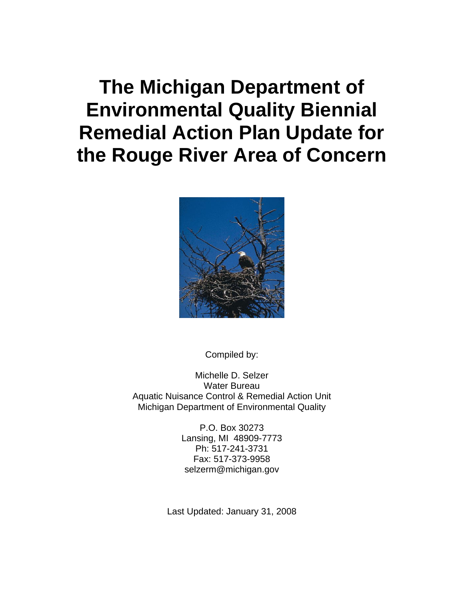# **The Michigan Department of Environmental Quality Biennial Remedial Action Plan Update for the Rouge River Area of Concern**



Compiled by:

Michelle D. Selzer Water Bureau Aquatic Nuisance Control & Remedial Action Unit Michigan Department of Environmental Quality

> P.O. Box 30273 Lansing, MI 48909-7773 Ph: 517-241-3731 Fax: 517-373-9958 selzerm@michigan.gov

Last Updated: January 31, 2008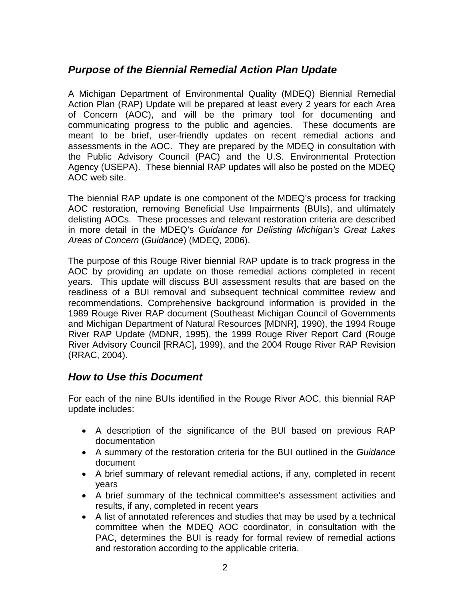# *Purpose of the Biennial Remedial Action Plan Update*

A Michigan Department of Environmental Quality (MDEQ) Biennial Remedial Action Plan (RAP) Update will be prepared at least every 2 years for each Area of Concern (AOC), and will be the primary tool for documenting and communicating progress to the public and agencies. These documents are meant to be brief, user-friendly updates on recent remedial actions and assessments in the AOC. They are prepared by the MDEQ in consultation with the Public Advisory Council (PAC) and the U.S. Environmental Protection Agency (USEPA). These biennial RAP updates will also be posted on the MDEQ AOC web site.

The biennial RAP update is one component of the MDEQ's process for tracking AOC restoration, removing Beneficial Use Impairments (BUIs), and ultimately delisting AOCs. These processes and relevant restoration criteria are described in more detail in the MDEQ's *Guidance for Delisting Michigan's Great Lakes Areas of Concern* (*Guidance*) (MDEQ, 2006).

The purpose of this Rouge River biennial RAP update is to track progress in the AOC by providing an update on those remedial actions completed in recent years. This update will discuss BUI assessment results that are based on the readiness of a BUI removal and subsequent technical committee review and recommendations. Comprehensive background information is provided in the 1989 Rouge River RAP document (Southeast Michigan Council of Governments and Michigan Department of Natural Resources [MDNR], 1990), the 1994 Rouge River RAP Update (MDNR, 1995), the 1999 Rouge River Report Card (Rouge River Advisory Council [RRAC], 1999), and the 2004 Rouge River RAP Revision (RRAC, 2004).

## *How to Use this Document*

For each of the nine BUIs identified in the Rouge River AOC, this biennial RAP update includes:

- A description of the significance of the BUI based on previous RAP documentation
- A summary of the restoration criteria for the BUI outlined in the *Guidance* document
- A brief summary of relevant remedial actions, if any, completed in recent years
- A brief summary of the technical committee's assessment activities and results, if any, completed in recent years
- A list of annotated references and studies that may be used by a technical committee when the MDEQ AOC coordinator, in consultation with the PAC, determines the BUI is ready for formal review of remedial actions and restoration according to the applicable criteria.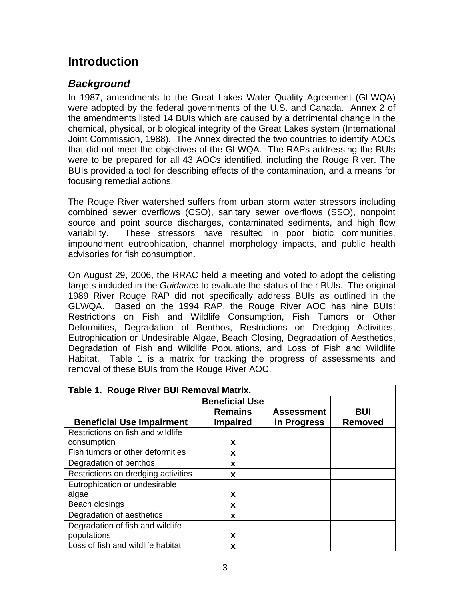# **Introduction**

# *Background*

In 1987, amendments to the Great Lakes Water Quality Agreement (GLWQA) were adopted by the federal governments of the U.S. and Canada. Annex 2 of the amendments listed 14 BUIs which are caused by a detrimental change in the chemical, physical, or biological integrity of the Great Lakes system (International Joint Commission, 1988). The Annex directed the two countries to identify AOCs that did not meet the objectives of the GLWQA. The RAPs addressing the BUIs were to be prepared for all 43 AOCs identified, including the Rouge River. The BUIs provided a tool for describing effects of the contamination, and a means for focusing remedial actions.

The Rouge River watershed suffers from urban storm water stressors including combined sewer overflows (CSO), sanitary sewer overflows (SSO), nonpoint source and point source discharges, contaminated sediments, and high flow variability. These stressors have resulted in poor biotic communities, impoundment eutrophication, channel morphology impacts, and public health advisories for fish consumption.

On August 29, 2006, the RRAC held a meeting and voted to adopt the delisting targets included in the *Guidance* to evaluate the status of their BUIs. The original 1989 River Rouge RAP did not specifically address BUIs as outlined in the GLWQA. Based on the 1994 RAP, the Rouge River AOC has nine BUIs: Restrictions on Fish and Wildlife Consumption, Fish Tumors or Other Deformities, Degradation of Benthos, Restrictions on Dredging Activities, Eutrophication or Undesirable Algae, Beach Closing, Degradation of Aesthetics, Degradation of Fish and Wildlife Populations, and Loss of Fish and Wildlife Habitat. Table 1 is a matrix for tracking the progress of assessments and removal of these BUIs from the Rouge River AOC.

| Table 1. Rouge River BUI Removal Matrix. |                                         |                   |                |
|------------------------------------------|-----------------------------------------|-------------------|----------------|
|                                          | <b>Beneficial Use</b><br><b>Remains</b> | <b>Assessment</b> | <b>BUI</b>     |
| <b>Beneficial Use Impairment</b>         | <b>Impaired</b>                         | in Progress       | <b>Removed</b> |
| Restrictions on fish and wildlife        |                                         |                   |                |
| consumption                              | X                                       |                   |                |
| Fish tumors or other deformities         | X                                       |                   |                |
| Degradation of benthos                   | X                                       |                   |                |
| Restrictions on dredging activities      | x                                       |                   |                |
| Eutrophication or undesirable            |                                         |                   |                |
| algae                                    | X                                       |                   |                |
| Beach closings                           | X                                       |                   |                |
| Degradation of aesthetics                | X                                       |                   |                |
| Degradation of fish and wildlife         |                                         |                   |                |
| populations                              | x                                       |                   |                |
| Loss of fish and wildlife habitat        | X                                       |                   |                |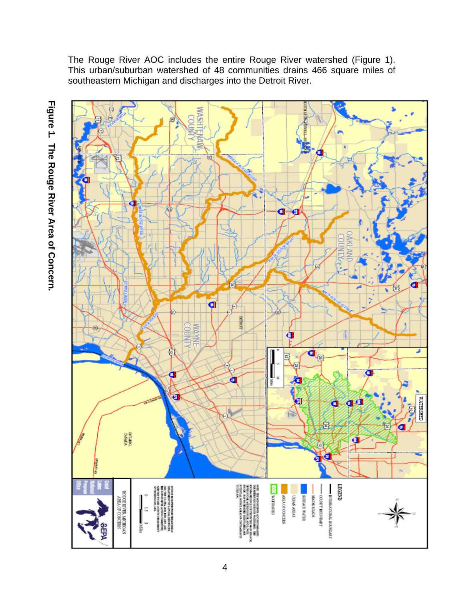The Rouge River AOC includes the entire Rouge River watershed (Figure 1). This urban/suburban watershed of 48 communities drains 466 square miles of southeastern Michigan and discharges into the Detroit River.



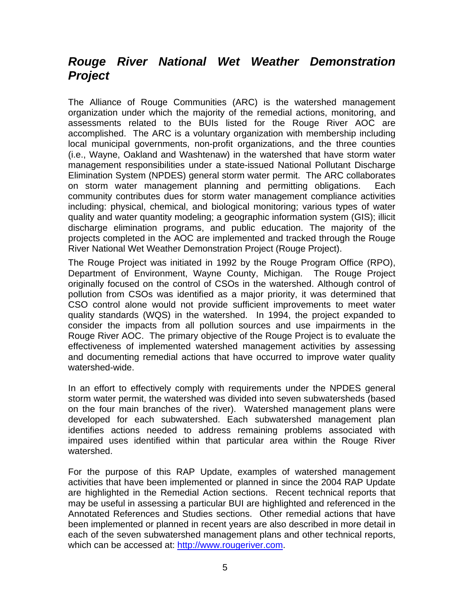# *Rouge River National Wet Weather Demonstration Project*

The Alliance of Rouge Communities (ARC) is the watershed management organization under which the majority of the remedial actions, monitoring, and assessments related to the BUIs listed for the Rouge River AOC are accomplished. The ARC is a voluntary organization with membership including local municipal governments, non-profit organizations, and the three counties (i.e., Wayne, Oakland and Washtenaw) in the watershed that have storm water management responsibilities under a state-issued National Pollutant Discharge Elimination System (NPDES) general storm water permit. The ARC collaborates on storm water management planning and permitting obligations. Each community contributes dues for storm water management compliance activities including: physical, chemical, and biological monitoring; various types of water quality and water quantity modeling; a geographic information system (GIS); illicit discharge elimination programs, and public education. The majority of the projects completed in the AOC are implemented and tracked through the Rouge River National Wet Weather Demonstration Project (Rouge Project).

The Rouge Project was initiated in 1992 by the Rouge Program Office (RPO), Department of Environment, Wayne County, Michigan. The Rouge Project originally focused on the control of CSOs in the watershed. Although control of pollution from CSOs was identified as a major priority, it was determined that CSO control alone would not provide sufficient improvements to meet water quality standards (WQS) in the watershed. In 1994, the project expanded to consider the impacts from all pollution sources and use impairments in the Rouge River AOC. The primary objective of the Rouge Project is to evaluate the effectiveness of implemented watershed management activities by assessing and documenting remedial actions that have occurred to improve water quality watershed-wide.

In an effort to effectively comply with requirements under the NPDES general storm water permit, the watershed was divided into seven subwatersheds (based on the four main branches of the river). Watershed management plans were developed for each subwatershed. Each subwatershed management plan identifies actions needed to address remaining problems associated with impaired uses identified within that particular area within the Rouge River watershed.

For the purpose of this RAP Update, examples of watershed management activities that have been implemented or planned in since the 2004 RAP Update are highlighted in the Remedial Action sections. Recent technical reports that may be useful in assessing a particular BUI are highlighted and referenced in the Annotated References and Studies sections. Other remedial actions that have been implemented or planned in recent years are also described in more detail in each of the seven subwatershed management plans and other technical reports, which can be accessed at: [http://www.rougeriver.com](http://www.rougeriver.com/).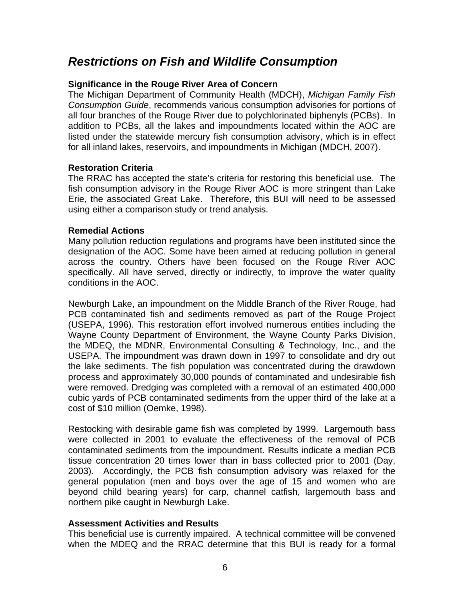# *Restrictions on Fish and Wildlife Consumption*

#### **Significance in the Rouge River Area of Concern**

The Michigan Department of Community Health (MDCH), *Michigan Family Fish Consumption Guide*, recommends various consumption advisories for portions of all four branches of the Rouge River due to polychlorinated biphenyls (PCBs). In addition to PCBs, all the lakes and impoundments located within the AOC are listed under the statewide mercury fish consumption advisory, which is in effect for all inland lakes, reservoirs, and impoundments in Michigan (MDCH, 2007).

#### **Restoration Criteria**

The RRAC has accepted the state's criteria for restoring this beneficial use. The fish consumption advisory in the Rouge River AOC is more stringent than Lake Erie, the associated Great Lake. Therefore, this BUI will need to be assessed using either a comparison study or trend analysis.

#### **Remedial Actions**

Many pollution reduction regulations and programs have been instituted since the designation of the AOC. Some have been aimed at reducing pollution in general across the country. Others have been focused on the Rouge River AOC specifically. All have served, directly or indirectly, to improve the water quality conditions in the AOC.

Newburgh Lake, an impoundment on the Middle Branch of the River Rouge, had PCB contaminated fish and sediments removed as part of the Rouge Project (USEPA, 1996). This restoration effort involved numerous entities including the Wayne County Department of Environment, the Wayne County Parks Division, the MDEQ, the MDNR, Environmental Consulting & Technology, Inc., and the USEPA. The impoundment was drawn down in 1997 to consolidate and dry out the lake sediments. The fish population was concentrated during the drawdown process and approximately 30,000 pounds of contaminated and undesirable fish were removed. Dredging was completed with a removal of an estimated 400,000 cubic yards of PCB contaminated sediments from the upper third of the lake at a cost of \$10 million (Oemke, 1998).

Restocking with desirable game fish was completed by 1999. Largemouth bass were collected in 2001 to evaluate the effectiveness of the removal of PCB contaminated sediments from the impoundment. Results indicate a median PCB tissue concentration 20 times lower than in bass collected prior to 2001 (Day, 2003). Accordingly, the PCB fish consumption advisory was relaxed for the general population (men and boys over the age of 15 and women who are beyond child bearing years) for carp, channel catfish, largemouth bass and northern pike caught in Newburgh Lake.

#### **Assessment Activities and Results**

This beneficial use is currently impaired. A technical committee will be convened when the MDEQ and the RRAC determine that this BUI is ready for a formal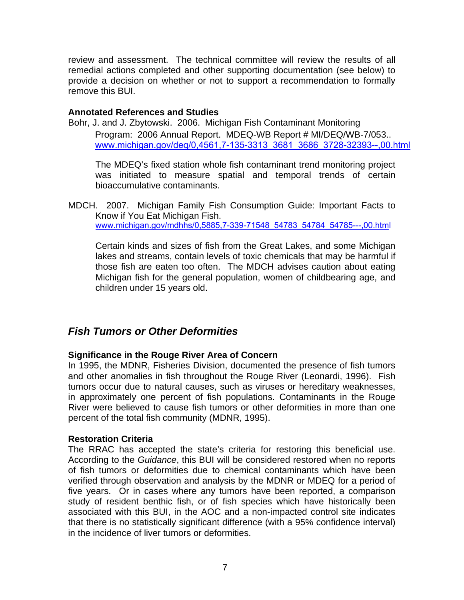review and assessment. The technical committee will review the results of all remedial actions completed and other supporting documentation (see below) to provide a decision on whether or not to support a recommendation to formally remove this BUI.

#### **Annotated References and Studies**

Bohr, J. and J. Zbytowski. 2006. Michigan Fish Contaminant Monitoring Program: 2006 Annual Report. MDEQ-WB Report # MI/DEQ/WB-7/053.. [www.michigan.gov/deq/0,4561,7-135-3313\\_3681\\_3686\\_3728-32393--,00.html](http://www.michigan.gov/deq/0,4561,7-135-3313_3681_3686_3728-32393--,00.html)

The MDEQ's fixed station whole fish contaminant trend monitoring project was initiated to measure spatial and temporal trends of certain bioaccumulative contaminants.

MDCH. 2007. Michigan Family Fish Consumption Guide: Important Facts to Know if You Eat Michigan Fish. [www.michigan.gov/mdhhs/0,5885,7-339-71548\\_54783\\_54784\\_54785---,00.htm](http://www.michigan.gov/mdhhs/0,5885,7-339-71548_54783_54784_54785---,00.html)l

Certain kinds and sizes of fish from the Great Lakes, and some Michigan lakes and streams, contain levels of toxic chemicals that may be harmful if those fish are eaten too often. The MDCH advises caution about eating Michigan fish for the general population, women of childbearing age, and children under 15 years old.

## *Fish Tumors or Other Deformities*

#### **Significance in the Rouge River Area of Concern**

In 1995, the MDNR, Fisheries Division, documented the presence of fish tumors and other anomalies in fish throughout the Rouge River (Leonardi, 1996). Fish tumors occur due to natural causes, such as viruses or hereditary weaknesses, in approximately one percent of fish populations. Contaminants in the Rouge River were believed to cause fish tumors or other deformities in more than one percent of the total fish community (MDNR, 1995).

#### **Restoration Criteria**

The RRAC has accepted the state's criteria for restoring this beneficial use. According to the *Guidance*, this BUI will be considered restored when no reports of fish tumors or deformities due to chemical contaminants which have been verified through observation and analysis by the MDNR or MDEQ for a period of five years. Or in cases where any tumors have been reported, a comparison study of resident benthic fish, or of fish species which have historically been associated with this BUI, in the AOC and a non-impacted control site indicates that there is no statistically significant difference (with a 95% confidence interval) in the incidence of liver tumors or deformities.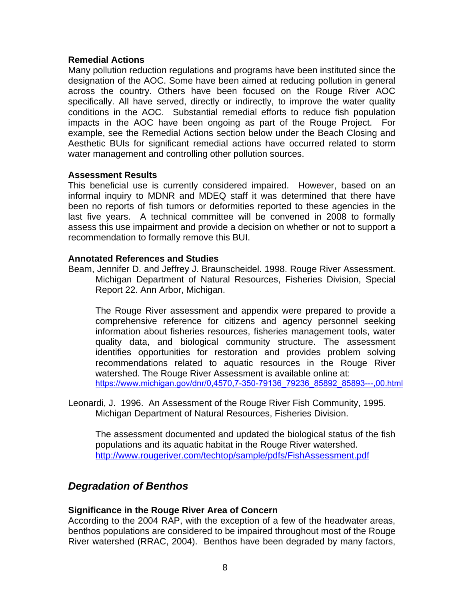#### **Remedial Actions**

Many pollution reduction regulations and programs have been instituted since the designation of the AOC. Some have been aimed at reducing pollution in general across the country. Others have been focused on the Rouge River AOC specifically. All have served, directly or indirectly, to improve the water quality conditions in the AOC. Substantial remedial efforts to reduce fish population impacts in the AOC have been ongoing as part of the Rouge Project. For example, see the Remedial Actions section below under the Beach Closing and Aesthetic BUIs for significant remedial actions have occurred related to storm water management and controlling other pollution sources.

#### **Assessment Results**

This beneficial use is currently considered impaired. However, based on an informal inquiry to MDNR and MDEQ staff it was determined that there have been no reports of fish tumors or deformities reported to these agencies in the last five years. A technical committee will be convened in 2008 to formally assess this use impairment and provide a decision on whether or not to support a recommendation to formally remove this BUI.

#### **Annotated References and Studies**

Beam, Jennifer D. and Jeffrey J. Braunscheidel. 1998. Rouge River Assessment. Michigan Department of Natural Resources, Fisheries Division, Special Report 22. Ann Arbor, Michigan.

The Rouge River assessment and appendix were prepared to provide a comprehensive reference for citizens and agency personnel seeking information about fisheries resources, fisheries management tools, water quality data, and biological community structure. The assessment identifies opportunities for restoration and provides problem solving recommendations related to aquatic resources in the Rouge River watershed. The Rouge River Assessment is available online at: [https://www.michigan.gov/dnr/0,4570,7-350-79136\\_79236\\_85892\\_85893---,00.htm](https://www.michigan.gov/dnr/0,4570,7-350-79136_79236_85892_85893---,00.html)l

Leonardi, J. 1996. An Assessment of the Rouge River Fish Community, 1995. Michigan Department of Natural Resources, Fisheries Division.

The assessment documented and updated the biological status of the fish populations and its aquatic habitat in the Rouge River watershed. <http://www.rougeriver.com/techtop/sample/pdfs/FishAssessment.pdf>

## *Degradation of Benthos*

#### **Significance in the Rouge River Area of Concern**

According to the 2004 RAP, with the exception of a few of the headwater areas, benthos populations are considered to be impaired throughout most of the Rouge River watershed (RRAC, 2004). Benthos have been degraded by many factors,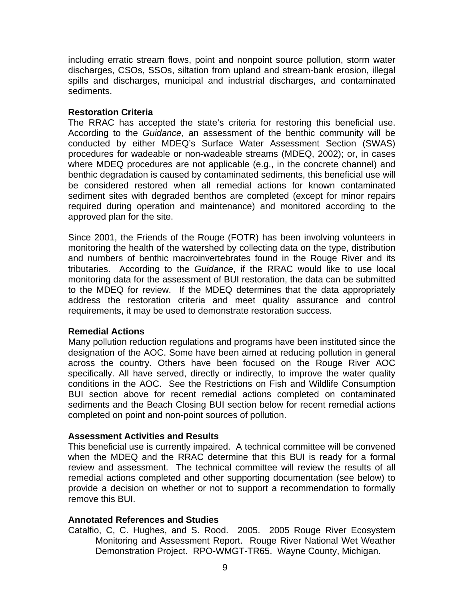including erratic stream flows, point and nonpoint source pollution, storm water discharges, CSOs, SSOs, siltation from upland and stream-bank erosion, illegal spills and discharges, municipal and industrial discharges, and contaminated sediments.

#### **Restoration Criteria**

The RRAC has accepted the state's criteria for restoring this beneficial use. According to the *Guidance*, an assessment of the benthic community will be conducted by either MDEQ's Surface Water Assessment Section (SWAS) procedures for wadeable or non-wadeable streams (MDEQ, 2002); or, in cases where MDEQ procedures are not applicable (e.g., in the concrete channel) and benthic degradation is caused by contaminated sediments, this beneficial use will be considered restored when all remedial actions for known contaminated sediment sites with degraded benthos are completed (except for minor repairs required during operation and maintenance) and monitored according to the approved plan for the site.

Since 2001, the Friends of the Rouge (FOTR) has been involving volunteers in monitoring the health of the watershed by collecting data on the type, distribution and numbers of benthic macroinvertebrates found in the Rouge River and its tributaries. According to the *Guidance*, if the RRAC would like to use local monitoring data for the assessment of BUI restoration, the data can be submitted to the MDEQ for review. If the MDEQ determines that the data appropriately address the restoration criteria and meet quality assurance and control requirements, it may be used to demonstrate restoration success.

#### **Remedial Actions**

Many pollution reduction regulations and programs have been instituted since the designation of the AOC. Some have been aimed at reducing pollution in general across the country. Others have been focused on the Rouge River AOC specifically. All have served, directly or indirectly, to improve the water quality conditions in the AOC. See the Restrictions on Fish and Wildlife Consumption BUI section above for recent remedial actions completed on contaminated sediments and the Beach Closing BUI section below for recent remedial actions completed on point and non-point sources of pollution.

#### **Assessment Activities and Results**

This beneficial use is currently impaired. A technical committee will be convened when the MDEQ and the RRAC determine that this BUI is ready for a formal review and assessment. The technical committee will review the results of all remedial actions completed and other supporting documentation (see below) to provide a decision on whether or not to support a recommendation to formally remove this BUI.

#### **Annotated References and Studies**

Catalfio, C, C. Hughes, and S. Rood. 2005. 2005 Rouge River Ecosystem Monitoring and Assessment Report. Rouge River National Wet Weather Demonstration Project. RPO-WMGT-TR65. Wayne County, Michigan.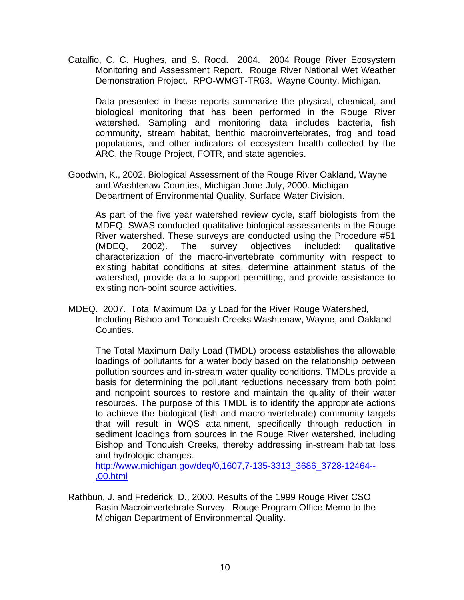Catalfio, C, C. Hughes, and S. Rood. 2004. 2004 Rouge River Ecosystem Monitoring and Assessment Report. Rouge River National Wet Weather Demonstration Project. RPO-WMGT-TR63. Wayne County, Michigan.

Data presented in these reports summarize the physical, chemical, and biological monitoring that has been performed in the Rouge River watershed. Sampling and monitoring data includes bacteria, fish community, stream habitat, benthic macroinvertebrates, frog and toad populations, and other indicators of ecosystem health collected by the ARC, the Rouge Project, FOTR, and state agencies.

Goodwin, K., 2002. Biological Assessment of the Rouge River Oakland, Wayne and Washtenaw Counties, Michigan June-July, 2000. Michigan Department of Environmental Quality, Surface Water Division.

As part of the five year watershed review cycle, staff biologists from the MDEQ, SWAS conducted qualitative biological assessments in the Rouge River watershed. These surveys are conducted using the Procedure #51 (MDEQ, 2002). The survey objectives included: qualitative characterization of the macro-invertebrate community with respect to existing habitat conditions at sites, determine attainment status of the watershed, provide data to support permitting, and provide assistance to existing non-point source activities.

MDEQ. 2007. Total Maximum Daily Load for the River Rouge Watershed, Including Bishop and Tonquish Creeks Washtenaw, Wayne, and Oakland Counties.

The Total Maximum Daily Load (TMDL) process establishes the allowable loadings of pollutants for a water body based on the relationship between pollution sources and in-stream water quality conditions. TMDLs provide a basis for determining the pollutant reductions necessary from both point and nonpoint sources to restore and maintain the quality of their water resources. The purpose of this TMDL is to identify the appropriate actions to achieve the biological (fish and macroinvertebrate) community targets that will result in WQS attainment, specifically through reduction in sediment loadings from sources in the Rouge River watershed, including Bishop and Tonquish Creeks, thereby addressing in-stream habitat loss and hydrologic changes.

[http://www.michigan.gov/deq/0,1607,7-135-3313\\_3686\\_3728-12464--](http://www.michigan.gov/deq/0,1607,7-135-3313_3686_3728-12464--,00.html) [,00.html](http://www.michigan.gov/deq/0,1607,7-135-3313_3686_3728-12464--,00.html)

Rathbun, J. and Frederick, D., 2000. Results of the 1999 Rouge River CSO Basin Macroinvertebrate Survey. Rouge Program Office Memo to the Michigan Department of Environmental Quality.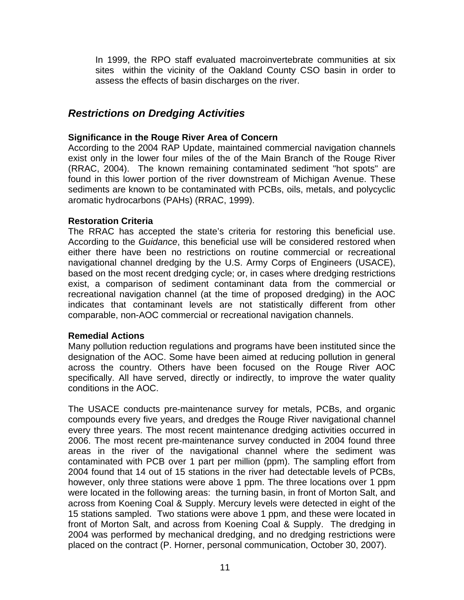In 1999, the RPO staff evaluated macroinvertebrate communities at six sites within the vicinity of the Oakland County CSO basin in order to assess the effects of basin discharges on the river.

# *Restrictions on Dredging Activities*

#### **Significance in the Rouge River Area of Concern**

According to the 2004 RAP Update, maintained commercial navigation channels exist only in the lower four miles of the of the Main Branch of the Rouge River (RRAC, 2004). The known remaining contaminated sediment "hot spots" are found in this lower portion of the river downstream of Michigan Avenue. These sediments are known to be contaminated with PCBs, oils, metals, and polycyclic aromatic hydrocarbons (PAHs) (RRAC, 1999).

#### **Restoration Criteria**

The RRAC has accepted the state's criteria for restoring this beneficial use. According to the *Guidance*, this beneficial use will be considered restored when either there have been no restrictions on routine commercial or recreational navigational channel dredging by the U.S. Army Corps of Engineers (USACE), based on the most recent dredging cycle; or, in cases where dredging restrictions exist, a comparison of sediment contaminant data from the commercial or recreational navigation channel (at the time of proposed dredging) in the AOC indicates that contaminant levels are not statistically different from other comparable, non-AOC commercial or recreational navigation channels.

#### **Remedial Actions**

Many pollution reduction regulations and programs have been instituted since the designation of the AOC. Some have been aimed at reducing pollution in general across the country. Others have been focused on the Rouge River AOC specifically. All have served, directly or indirectly, to improve the water quality conditions in the AOC.

The USACE conducts pre-maintenance survey for metals, PCBs, and organic compounds every five years, and dredges the Rouge River navigational channel every three years. The most recent maintenance dredging activities occurred in 2006. The most recent pre-maintenance survey conducted in 2004 found three areas in the river of the navigational channel where the sediment was contaminated with PCB over 1 part per million (ppm). The sampling effort from 2004 found that 14 out of 15 stations in the river had detectable levels of PCBs, however, only three stations were above 1 ppm. The three locations over 1 ppm were located in the following areas: the turning basin, in front of Morton Salt, and across from Koening Coal & Supply. Mercury levels were detected in eight of the 15 stations sampled. Two stations were above 1 ppm, and these were located in front of Morton Salt, and across from Koening Coal & Supply. The dredging in 2004 was performed by mechanical dredging, and no dredging restrictions were placed on the contract (P. Horner, personal communication, October 30, 2007).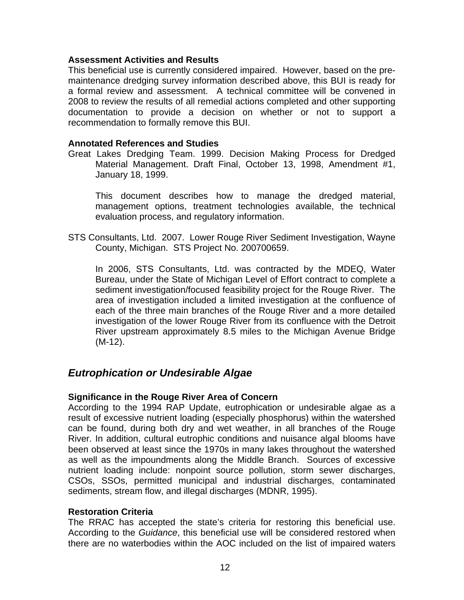#### **Assessment Activities and Results**

This beneficial use is currently considered impaired. However, based on the premaintenance dredging survey information described above, this BUI is ready for a formal review and assessment. A technical committee will be convened in 2008 to review the results of all remedial actions completed and other supporting documentation to provide a decision on whether or not to support a recommendation to formally remove this BUI.

#### **Annotated References and Studies**

Great Lakes Dredging Team. 1999. Decision Making Process for Dredged Material Management. Draft Final, October 13, 1998, Amendment #1, January 18, 1999.

 This document describes how to manage the dredged material, management options, treatment technologies available, the technical evaluation process, and regulatory information.

STS Consultants, Ltd. 2007. Lower Rouge River Sediment Investigation, Wayne County, Michigan. STS Project No. 200700659.

In 2006, STS Consultants, Ltd. was contracted by the MDEQ, Water Bureau, under the State of Michigan Level of Effort contract to complete a sediment investigation/focused feasibility project for the Rouge River. The area of investigation included a limited investigation at the confluence of each of the three main branches of the Rouge River and a more detailed investigation of the lower Rouge River from its confluence with the Detroit River upstream approximately 8.5 miles to the Michigan Avenue Bridge (M-12).

# *Eutrophication or Undesirable Algae*

#### **Significance in the Rouge River Area of Concern**

According to the 1994 RAP Update, eutrophication or undesirable algae as a result of excessive nutrient loading (especially phosphorus) within the watershed can be found, during both dry and wet weather, in all branches of the Rouge River. In addition, cultural eutrophic conditions and nuisance algal blooms have been observed at least since the 1970s in many lakes throughout the watershed as well as the impoundments along the Middle Branch. Sources of excessive nutrient loading include: nonpoint source pollution, storm sewer discharges, CSOs, SSOs, permitted municipal and industrial discharges, contaminated sediments, stream flow, and illegal discharges (MDNR, 1995).

#### **Restoration Criteria**

The RRAC has accepted the state's criteria for restoring this beneficial use. According to the *Guidance*, this beneficial use will be considered restored when there are no waterbodies within the AOC included on the list of impaired waters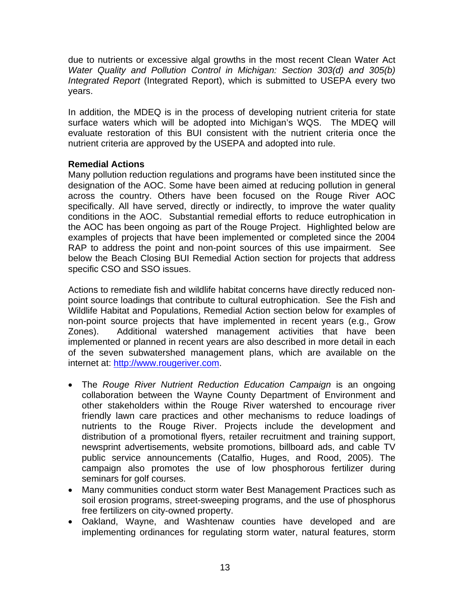due to nutrients or excessive algal growths in the most recent Clean Water Act *Water Quality and Pollution Control in Michigan: Section 303(d) and 305(b) Integrated Report* (Integrated Report), which is submitted to USEPA every two years.

In addition, the MDEQ is in the process of developing nutrient criteria for state surface waters which will be adopted into Michigan's WQS. The MDEQ will evaluate restoration of this BUI consistent with the nutrient criteria once the nutrient criteria are approved by the USEPA and adopted into rule.

#### **Remedial Actions**

Many pollution reduction regulations and programs have been instituted since the designation of the AOC. Some have been aimed at reducing pollution in general across the country. Others have been focused on the Rouge River AOC specifically. All have served, directly or indirectly, to improve the water quality conditions in the AOC. Substantial remedial efforts to reduce eutrophication in the AOC has been ongoing as part of the Rouge Project. Highlighted below are examples of projects that have been implemented or completed since the 2004 RAP to address the point and non-point sources of this use impairment. See below the Beach Closing BUI Remedial Action section for projects that address specific CSO and SSO issues.

Actions to remediate fish and wildlife habitat concerns have directly reduced nonpoint source loadings that contribute to cultural eutrophication. See the Fish and Wildlife Habitat and Populations, Remedial Action section below for examples of non-point source projects that have implemented in recent years (e.g., Grow Zones). Additional watershed management activities that have been implemented or planned in recent years are also described in more detail in each of the seven subwatershed management plans, which are available on the internet at: [http://www.rougeriver.com](http://www.rougeriver.com/).

- The *Rouge River Nutrient Reduction Education Campaign* is an ongoing collaboration between the Wayne County Department of Environment and other stakeholders within the Rouge River watershed to encourage river friendly lawn care practices and other mechanisms to reduce loadings of nutrients to the Rouge River. Projects include the development and distribution of a promotional flyers, retailer recruitment and training support, newsprint advertisements, website promotions, billboard ads, and cable TV public service announcements (Catalfio, Huges, and Rood, 2005). The campaign also promotes the use of low phosphorous fertilizer during seminars for golf courses.
- Many communities conduct storm water Best Management Practices such as soil erosion programs, street-sweeping programs, and the use of phosphorus free fertilizers on city-owned property.
- Oakland, Wayne, and Washtenaw counties have developed and are implementing ordinances for regulating storm water, natural features, storm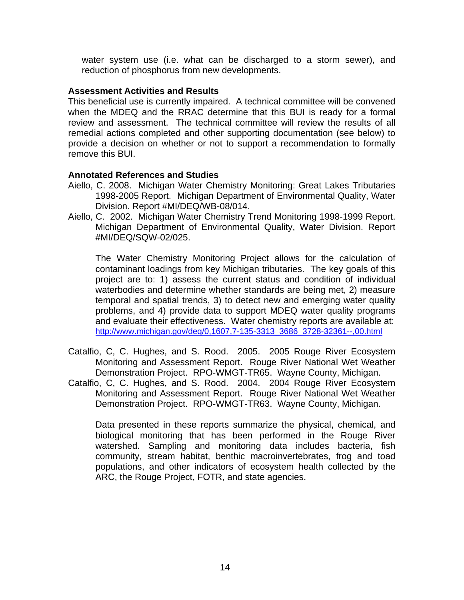water system use (i.e. what can be discharged to a storm sewer), and reduction of phosphorus from new developments.

#### **Assessment Activities and Results**

This beneficial use is currently impaired. A technical committee will be convened when the MDEQ and the RRAC determine that this BUI is ready for a formal review and assessment. The technical committee will review the results of all remedial actions completed and other supporting documentation (see below) to provide a decision on whether or not to support a recommendation to formally remove this BUI.

#### **Annotated References and Studies**

- Aiello, C. 2008. Michigan Water Chemistry Monitoring: Great Lakes Tributaries 1998-2005 Report. Michigan Department of Environmental Quality, Water Division. Report #MI/DEQ/WB-08/014.
- Aiello, C. 2002. Michigan Water Chemistry Trend Monitoring 1998-1999 Report. Michigan Department of Environmental Quality, Water Division. Report #MI/DEQ/SQW-02/025.

The Water Chemistry Monitoring Project allows for the calculation of contaminant loadings from key Michigan tributaries. The key goals of this project are to: 1) assess the current status and condition of individual waterbodies and determine whether standards are being met, 2) measure temporal and spatial trends, 3) to detect new and emerging water quality problems, and 4) provide data to support MDEQ water quality programs and evaluate their effectiveness. Water chemistry reports are available at: [http://www.michigan.gov/deq/0,1607,7-135-3313\\_3686\\_3728-32361--,00.html](http://www.michigan.gov/deq/0,1607,7-135-3313_3686_3728-32361--,00.html)

- Catalfio, C, C. Hughes, and S. Rood. 2005. 2005 Rouge River Ecosystem Monitoring and Assessment Report. Rouge River National Wet Weather Demonstration Project. RPO-WMGT-TR65. Wayne County, Michigan.
- Catalfio, C, C. Hughes, and S. Rood. 2004. 2004 Rouge River Ecosystem Monitoring and Assessment Report. Rouge River National Wet Weather Demonstration Project. RPO-WMGT-TR63. Wayne County, Michigan.

Data presented in these reports summarize the physical, chemical, and biological monitoring that has been performed in the Rouge River watershed. Sampling and monitoring data includes bacteria, fish community, stream habitat, benthic macroinvertebrates, frog and toad populations, and other indicators of ecosystem health collected by the ARC, the Rouge Project, FOTR, and state agencies.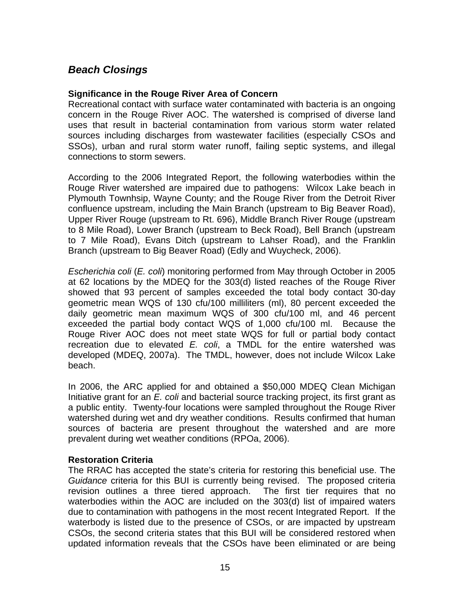# *Beach Closings*

#### **Significance in the Rouge River Area of Concern**

Recreational contact with surface water contaminated with bacteria is an ongoing concern in the Rouge River AOC. The watershed is comprised of diverse land uses that result in bacterial contamination from various storm water related sources including discharges from wastewater facilities (especially CSOs and SSOs), urban and rural storm water runoff, failing septic systems, and illegal connections to storm sewers.

According to the 2006 Integrated Report, the following waterbodies within the Rouge River watershed are impaired due to pathogens: Wilcox Lake beach in Plymouth Townhsip, Wayne County; and the Rouge River from the Detroit River confluence upstream, including the Main Branch (upstream to Big Beaver Road), Upper River Rouge (upstream to Rt. 696), Middle Branch River Rouge (upstream to 8 Mile Road), Lower Branch (upstream to Beck Road), Bell Branch (upstream to 7 Mile Road), Evans Ditch (upstream to Lahser Road), and the Franklin Branch (upstream to Big Beaver Road) (Edly and Wuycheck, 2006).

*Escherichia coli* (*E. coli*) monitoring performed from May through October in 2005 at 62 locations by the MDEQ for the 303(d) listed reaches of the Rouge River showed that 93 percent of samples exceeded the total body contact 30-day geometric mean WQS of 130 cfu/100 milliliters (ml), 80 percent exceeded the daily geometric mean maximum WQS of 300 cfu/100 ml, and 46 percent exceeded the partial body contact WQS of 1,000 cfu/100 ml. Because the Rouge River AOC does not meet state WQS for full or partial body contact recreation due to elevated *E. coli*, a TMDL for the entire watershed was developed (MDEQ, 2007a). The TMDL, however, does not include Wilcox Lake beach.

In 2006, the ARC applied for and obtained a \$50,000 MDEQ Clean Michigan Initiative grant for an *E. coli* and bacterial source tracking project, its first grant as a public entity. Twenty-four locations were sampled throughout the Rouge River watershed during wet and dry weather conditions. Results confirmed that human sources of bacteria are present throughout the watershed and are more prevalent during wet weather conditions (RPOa, 2006).

#### **Restoration Criteria**

The RRAC has accepted the state's criteria for restoring this beneficial use. The *Guidance* criteria for this BUI is currently being revised. The proposed criteria revision outlines a three tiered approach. The first tier requires that no waterbodies within the AOC are included on the 303(d) list of impaired waters due to contamination with pathogens in the most recent Integrated Report. If the waterbody is listed due to the presence of CSOs, or are impacted by upstream CSOs, the second criteria states that this BUI will be considered restored when updated information reveals that the CSOs have been eliminated or are being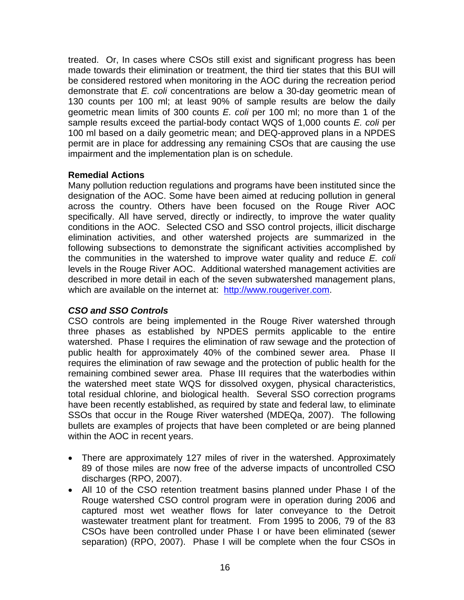treated. Or, In cases where CSOs still exist and significant progress has been made towards their elimination or treatment, the third tier states that this BUI will be considered restored when monitoring in the AOC during the recreation period demonstrate that *E. coli* concentrations are below a 30-day geometric mean of 130 counts per 100 ml; at least 90% of sample results are below the daily geometric mean limits of 300 counts *E. coli* per 100 ml; no more than 1 of the sample results exceed the partial-body contact WQS of 1,000 counts *E. coli* per 100 ml based on a daily geometric mean; and DEQ-approved plans in a NPDES permit are in place for addressing any remaining CSOs that are causing the use impairment and the implementation plan is on schedule.

#### **Remedial Actions**

Many pollution reduction regulations and programs have been instituted since the designation of the AOC. Some have been aimed at reducing pollution in general across the country. Others have been focused on the Rouge River AOC specifically. All have served, directly or indirectly, to improve the water quality conditions in the AOC. Selected CSO and SSO control projects, illicit discharge elimination activities, and other watershed projects are summarized in the following subsections to demonstrate the significant activities accomplished by the communities in the watershed to improve water quality and reduce *E. coli*  levels in the Rouge River AOC. Additional watershed management activities are described in more detail in each of the seven subwatershed management plans, which are available on the internet at: [http://www.rougeriver.com.](http://www.rougeriver.com/)

#### *CSO and SSO Controls*

CSO controls are being implemented in the Rouge River watershed through three phases as established by NPDES permits applicable to the entire watershed. Phase I requires the elimination of raw sewage and the protection of public health for approximately 40% of the combined sewer area. Phase II requires the elimination of raw sewage and the protection of public health for the remaining combined sewer area. Phase III requires that the waterbodies within the watershed meet state WQS for dissolved oxygen, physical characteristics, total residual chlorine, and biological health. Several SSO correction programs have been recently established, as required by state and federal law, to eliminate SSOs that occur in the Rouge River watershed (MDEQa, 2007). The following bullets are examples of projects that have been completed or are being planned within the AOC in recent years.

- There are approximately 127 miles of river in the watershed. Approximately 89 of those miles are now free of the adverse impacts of uncontrolled CSO discharges (RPO, 2007).
- All 10 of the CSO retention treatment basins planned under Phase I of the Rouge watershed CSO control program were in operation during 2006 and captured most wet weather flows for later conveyance to the Detroit wastewater treatment plant for treatment. From 1995 to 2006, 79 of the 83 CSOs have been controlled under Phase I or have been eliminated (sewer separation) (RPO, 2007). Phase I will be complete when the four CSOs in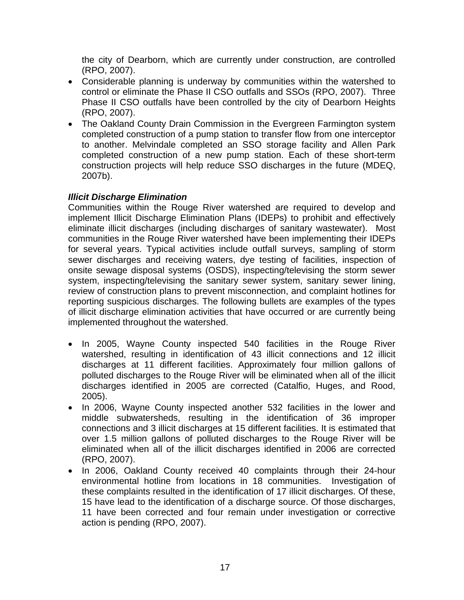the city of Dearborn, which are currently under construction, are controlled (RPO, 2007).

- Considerable planning is underway by communities within the watershed to control or eliminate the Phase II CSO outfalls and SSOs (RPO, 2007). Three Phase II CSO outfalls have been controlled by the city of Dearborn Heights (RPO, 2007).
- The Oakland County Drain Commission in the Evergreen Farmington system completed construction of a pump station to transfer flow from one interceptor to another. Melvindale completed an SSO storage facility and Allen Park completed construction of a new pump station. Each of these short-term construction projects will help reduce SSO discharges in the future (MDEQ, 2007b).

#### *Illicit Discharge Elimination*

Communities within the Rouge River watershed are required to develop and implement Illicit Discharge Elimination Plans (IDEPs) to prohibit and effectively eliminate illicit discharges (including discharges of sanitary wastewater). Most communities in the Rouge River watershed have been implementing their IDEPs for several years. Typical activities include outfall surveys, sampling of storm sewer discharges and receiving waters, dye testing of facilities, inspection of onsite sewage disposal systems (OSDS), inspecting/televising the storm sewer system, inspecting/televising the sanitary sewer system, sanitary sewer lining, review of construction plans to prevent misconnection, and complaint hotlines for reporting suspicious discharges. The following bullets are examples of the types of illicit discharge elimination activities that have occurred or are currently being implemented throughout the watershed.

- In 2005, Wayne County inspected 540 facilities in the Rouge River watershed, resulting in identification of 43 illicit connections and 12 illicit discharges at 11 different facilities. Approximately four million gallons of polluted discharges to the Rouge River will be eliminated when all of the illicit discharges identified in 2005 are corrected (Catalfio, Huges, and Rood, 2005).
- In 2006, Wayne County inspected another 532 facilities in the lower and middle subwatersheds, resulting in the identification of 36 improper connections and 3 illicit discharges at 15 different facilities. It is estimated that over 1.5 million gallons of polluted discharges to the Rouge River will be eliminated when all of the illicit discharges identified in 2006 are corrected (RPO, 2007).
- In 2006, Oakland County received 40 complaints through their 24-hour environmental hotline from locations in 18 communities. Investigation of these complaints resulted in the identification of 17 illicit discharges. Of these, 15 have lead to the identification of a discharge source. Of those discharges, 11 have been corrected and four remain under investigation or corrective action is pending (RPO, 2007).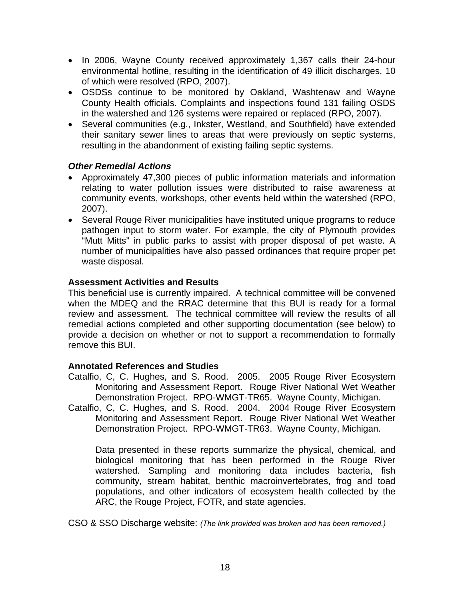- In 2006, Wayne County received approximately 1,367 calls their 24-hour environmental hotline, resulting in the identification of 49 illicit discharges, 10 of which were resolved (RPO, 2007).
- OSDSs continue to be monitored by Oakland, Washtenaw and Wayne County Health officials. Complaints and inspections found 131 failing OSDS in the watershed and 126 systems were repaired or replaced (RPO, 2007).
- Several communities (e.g., Inkster, Westland, and Southfield) have extended their sanitary sewer lines to areas that were previously on septic systems, resulting in the abandonment of existing failing septic systems.

#### *Other Remedial Actions*

- Approximately 47,300 pieces of public information materials and information relating to water pollution issues were distributed to raise awareness at community events, workshops, other events held within the watershed (RPO, 2007).
- Several Rouge River municipalities have instituted unique programs to reduce pathogen input to storm water. For example, the city of Plymouth provides "Mutt Mitts" in public parks to assist with proper disposal of pet waste. A number of municipalities have also passed ordinances that require proper pet waste disposal.

#### **Assessment Activities and Results**

This beneficial use is currently impaired. A technical committee will be convened when the MDEQ and the RRAC determine that this BUI is ready for a formal review and assessment. The technical committee will review the results of all remedial actions completed and other supporting documentation (see below) to provide a decision on whether or not to support a recommendation to formally remove this BUI.

#### **Annotated References and Studies**

Catalfio, C, C. Hughes, and S. Rood. 2005. 2005 Rouge River Ecosystem Monitoring and Assessment Report. Rouge River National Wet Weather Demonstration Project. RPO-WMGT-TR65. Wayne County, Michigan.

Catalfio, C, C. Hughes, and S. Rood. 2004. 2004 Rouge River Ecosystem Monitoring and Assessment Report. Rouge River National Wet Weather Demonstration Project. RPO-WMGT-TR63. Wayne County, Michigan.

Data presented in these reports summarize the physical, chemical, and biological monitoring that has been performed in the Rouge River watershed. Sampling and monitoring data includes bacteria, fish community, stream habitat, benthic macroinvertebrates, frog and toad populations, and other indicators of ecosystem health collected by the ARC, the Rouge Project, FOTR, and state agencies.

CSO & SSO Discharge website: *(The link provided was broken and has been removed.)*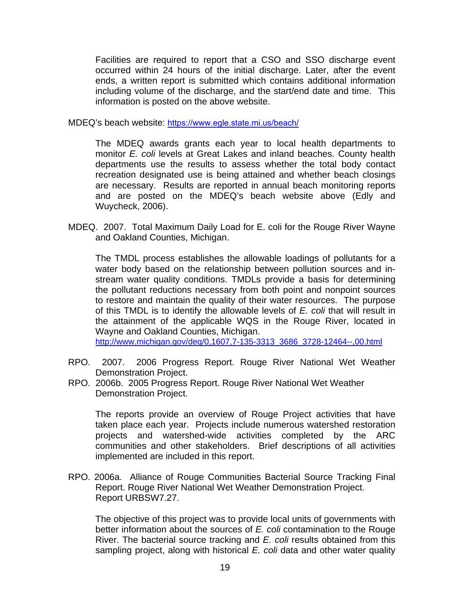Facilities are required to report that a CSO and SSO discharge event occurred within 24 hours of the initial discharge. Later, after the event ends, a written report is submitted which contains additional information including volume of the discharge, and the start/end date and time. This information is posted on the above website.

MDEQ's beach website: <https://www.egle.state.mi.us/beach/>

The MDEQ awards grants each year to local health departments to monitor *E. coli* levels at Great Lakes and inland beaches. County health departments use the results to assess whether the total body contact recreation designated use is being attained and whether beach closings are necessary. Results are reported in annual beach monitoring reports and are posted on the MDEQ's beach website above (Edly and Wuycheck, 2006).

MDEQ. 2007. Total Maximum Daily Load for E. coli for the Rouge River Wayne and Oakland Counties, Michigan.

The TMDL process establishes the allowable loadings of pollutants for a water body based on the relationship between pollution sources and instream water quality conditions. TMDLs provide a basis for determining the pollutant reductions necessary from both point and nonpoint sources to restore and maintain the quality of their water resources. The purpose of this TMDL is to identify the allowable levels of *E. coli* that will result in the attainment of the applicable WQS in the Rouge River, located in Wayne and Oakland Counties, Michigan.

[http://www.michigan.gov/deq/0,1607,7-135-3313\\_3686\\_3728-12464--,00.html](http://www.michigan.gov/deq/0,1607,7-135-3313_3686_3728-12464--,00.html)

- RPO. 2007. 2006 Progress Report. Rouge River National Wet Weather Demonstration Project.
- RPO. 2006b. 2005 Progress Report. Rouge River National Wet Weather Demonstration Project.

The reports provide an overview of Rouge Project activities that have taken place each year. Projects include numerous watershed restoration projects and watershed-wide activities completed by the ARC communities and other stakeholders. Brief descriptions of all activities implemented are included in this report.

RPO. 2006a. Alliance of Rouge Communities Bacterial Source Tracking Final Report. Rouge River National Wet Weather Demonstration Project. Report URBSW7.27.

The objective of this project was to provide local units of governments with better information about the sources of *E. coli* contamination to the Rouge River. The bacterial source tracking and *E. coli* results obtained from this sampling project, along with historical *E. coli* data and other water quality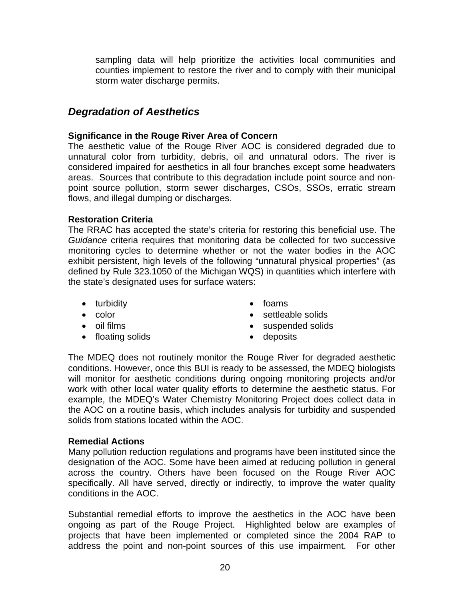sampling data will help prioritize the activities local communities and counties implement to restore the river and to comply with their municipal storm water discharge permits.

# *Degradation of Aesthetics*

#### **Significance in the Rouge River Area of Concern**

The aesthetic value of the Rouge River AOC is considered degraded due to unnatural color from turbidity, debris, oil and unnatural odors. The river is considered impaired for aesthetics in all four branches except some headwaters areas. Sources that contribute to this degradation include point source and nonpoint source pollution, storm sewer discharges, CSOs, SSOs, erratic stream flows, and illegal dumping or discharges.

#### **Restoration Criteria**

The RRAC has accepted the state's criteria for restoring this beneficial use. The *Guidance* criteria requires that monitoring data be collected for two successive monitoring cycles to determine whether or not the water bodies in the AOC exhibit persistent, high levels of the following "unnatural physical properties" (as defined by Rule 323.1050 of the Michigan WQS) in quantities which interfere with the state's designated uses for surface waters:

- turbidity **•** foams
- 
- 
- floating solids deposits
- 
- color settleable solids
- oil films suspended solids
	-

The MDEQ does not routinely monitor the Rouge River for degraded aesthetic conditions. However, once this BUI is ready to be assessed, the MDEQ biologists will monitor for aesthetic conditions during ongoing monitoring projects and/or work with other local water quality efforts to determine the aesthetic status. For example, the MDEQ's Water Chemistry Monitoring Project does collect data in the AOC on a routine basis, which includes analysis for turbidity and suspended solids from stations located within the AOC.

#### **Remedial Actions**

Many pollution reduction regulations and programs have been instituted since the designation of the AOC. Some have been aimed at reducing pollution in general across the country. Others have been focused on the Rouge River AOC specifically. All have served, directly or indirectly, to improve the water quality conditions in the AOC.

Substantial remedial efforts to improve the aesthetics in the AOC have been ongoing as part of the Rouge Project. Highlighted below are examples of projects that have been implemented or completed since the 2004 RAP to address the point and non-point sources of this use impairment. For other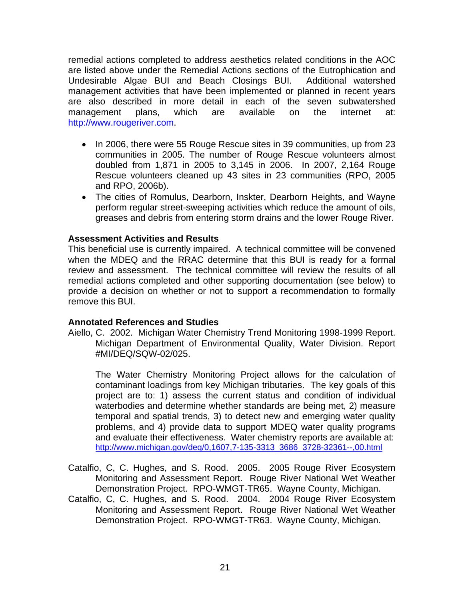remedial actions completed to address aesthetics related conditions in the AOC are listed above under the Remedial Actions sections of the Eutrophication and Undesirable Algae BUI and Beach Closings BUI. Additional watershed management activities that have been implemented or planned in recent years are also described in more detail in each of the seven subwatershed management plans, which are available on the internet at: [http://www.rougeriver.com](http://www.rougeriver.com/).

- In 2006, there were 55 Rouge Rescue sites in 39 communities, up from 23 communities in 2005. The number of Rouge Rescue volunteers almost doubled from 1,871 in 2005 to 3,145 in 2006. In 2007, 2,164 Rouge Rescue volunteers cleaned up 43 sites in 23 communities (RPO, 2005 and RPO, 2006b).
- The cities of Romulus, Dearborn, Inskter, Dearborn Heights, and Wayne perform regular street-sweeping activities which reduce the amount of oils, greases and debris from entering storm drains and the lower Rouge River.

#### **Assessment Activities and Results**

This beneficial use is currently impaired. A technical committee will be convened when the MDEQ and the RRAC determine that this BUI is ready for a formal review and assessment. The technical committee will review the results of all remedial actions completed and other supporting documentation (see below) to provide a decision on whether or not to support a recommendation to formally remove this BUI.

#### **Annotated References and Studies**

Aiello, C. 2002. Michigan Water Chemistry Trend Monitoring 1998-1999 Report. Michigan Department of Environmental Quality, Water Division. Report #MI/DEQ/SQW-02/025.

The Water Chemistry Monitoring Project allows for the calculation of contaminant loadings from key Michigan tributaries. The key goals of this project are to: 1) assess the current status and condition of individual waterbodies and determine whether standards are being met, 2) measure temporal and spatial trends, 3) to detect new and emerging water quality problems, and 4) provide data to support MDEQ water quality programs and evaluate their effectiveness. Water chemistry reports are available at: [http://www.michigan.gov/deq/0,1607,7-135-3313\\_3686\\_3728-32361--,00.html](http://www.michigan.gov/deq/0,1607,7-135-3313_3686_3728-32361--,00.html)

- Catalfio, C, C. Hughes, and S. Rood. 2005. 2005 Rouge River Ecosystem Monitoring and Assessment Report. Rouge River National Wet Weather Demonstration Project. RPO-WMGT-TR65. Wayne County, Michigan.
- Catalfio, C, C. Hughes, and S. Rood. 2004. 2004 Rouge River Ecosystem Monitoring and Assessment Report. Rouge River National Wet Weather Demonstration Project. RPO-WMGT-TR63. Wayne County, Michigan.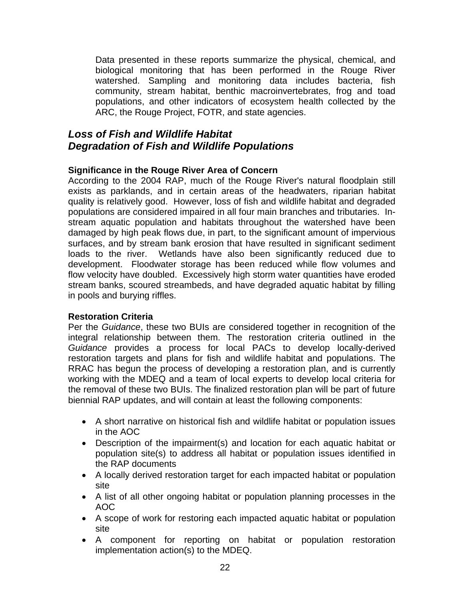Data presented in these reports summarize the physical, chemical, and biological monitoring that has been performed in the Rouge River watershed. Sampling and monitoring data includes bacteria, fish community, stream habitat, benthic macroinvertebrates, frog and toad populations, and other indicators of ecosystem health collected by the ARC, the Rouge Project, FOTR, and state agencies.

# *Loss of Fish and Wildlife Habitat Degradation of Fish and Wildlife Populations*

#### **Significance in the Rouge River Area of Concern**

According to the 2004 RAP, much of the Rouge River's natural floodplain still exists as parklands, and in certain areas of the headwaters, riparian habitat quality is relatively good. However, loss of fish and wildlife habitat and degraded populations are considered impaired in all four main branches and tributaries. Instream aquatic population and habitats throughout the watershed have been damaged by high peak flows due, in part, to the significant amount of impervious surfaces, and by stream bank erosion that have resulted in significant sediment loads to the river. Wetlands have also been significantly reduced due to development. Floodwater storage has been reduced while flow volumes and flow velocity have doubled. Excessively high storm water quantities have eroded stream banks, scoured streambeds, and have degraded aquatic habitat by filling in pools and burying riffles.

#### **Restoration Criteria**

Per the *Guidance*, these two BUIs are considered together in recognition of the integral relationship between them. The restoration criteria outlined in the *Guidance* provides a process for local PACs to develop locally-derived restoration targets and plans for fish and wildlife habitat and populations. The RRAC has begun the process of developing a restoration plan, and is currently working with the MDEQ and a team of local experts to develop local criteria for the removal of these two BUIs. The finalized restoration plan will be part of future biennial RAP updates, and will contain at least the following components:

- A short narrative on historical fish and wildlife habitat or population issues in the AOC
- Description of the impairment(s) and location for each aquatic habitat or population site(s) to address all habitat or population issues identified in the RAP documents
- A locally derived restoration target for each impacted habitat or population site
- A list of all other ongoing habitat or population planning processes in the AOC
- A scope of work for restoring each impacted aquatic habitat or population site
- A component for reporting on habitat or population restoration implementation action(s) to the MDEQ.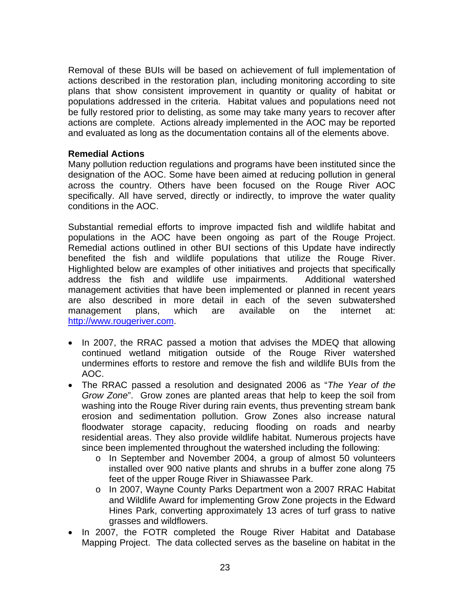Removal of these BUIs will be based on achievement of full implementation of actions described in the restoration plan, including monitoring according to site plans that show consistent improvement in quantity or quality of habitat or populations addressed in the criteria. Habitat values and populations need not be fully restored prior to delisting, as some may take many years to recover after actions are complete. Actions already implemented in the AOC may be reported and evaluated as long as the documentation contains all of the elements above.

#### **Remedial Actions**

Many pollution reduction regulations and programs have been instituted since the designation of the AOC. Some have been aimed at reducing pollution in general across the country. Others have been focused on the Rouge River AOC specifically. All have served, directly or indirectly, to improve the water quality conditions in the AOC.

Substantial remedial efforts to improve impacted fish and wildlife habitat and populations in the AOC have been ongoing as part of the Rouge Project. Remedial actions outlined in other BUI sections of this Update have indirectly benefited the fish and wildlife populations that utilize the Rouge River. Highlighted below are examples of other initiatives and projects that specifically address the fish and wildlife use impairments. Additional watershed management activities that have been implemented or planned in recent years are also described in more detail in each of the seven subwatershed management plans, which are available on the internet at: [http://www.rougeriver.com](http://www.rougeriver.com/).

- In 2007, the RRAC passed a motion that advises the MDEQ that allowing continued wetland mitigation outside of the Rouge River watershed undermines efforts to restore and remove the fish and wildlife BUIs from the AOC.
- The RRAC passed a resolution and designated 2006 as "*The Year of the Grow Zone*". Grow zones are planted areas that help to keep the soil from washing into the Rouge River during rain events, thus preventing stream bank erosion and sedimentation pollution. Grow Zones also increase natural floodwater storage capacity, reducing flooding on roads and nearby residential areas. They also provide wildlife habitat. Numerous projects have since been implemented throughout the watershed including the following:
	- o In September and November 2004, a group of almost 50 volunteers installed over 900 native plants and shrubs in a buffer zone along 75 feet of the upper Rouge River in Shiawassee Park.
	- o In 2007, Wayne County Parks Department won a 2007 RRAC Habitat and Wildlife Award for implementing Grow Zone projects in the Edward Hines Park, converting approximately 13 acres of turf grass to native grasses and wildflowers.
- In 2007, the FOTR completed the Rouge River Habitat and Database Mapping Project. The data collected serves as the baseline on habitat in the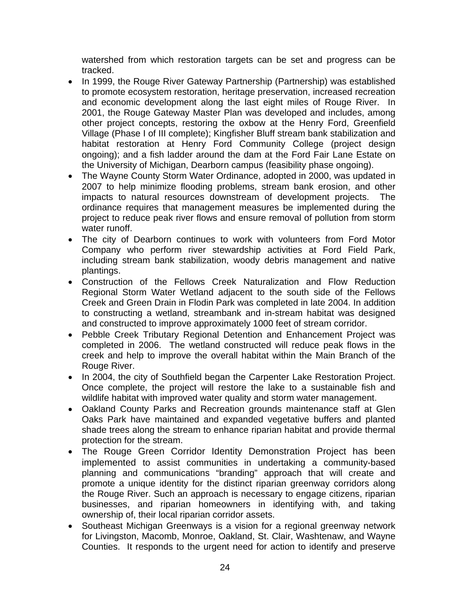watershed from which restoration targets can be set and progress can be tracked.

- In 1999, the Rouge River Gateway Partnership (Partnership) was established to promote ecosystem restoration, heritage preservation, increased recreation and economic development along the last eight miles of Rouge River. In 2001, the Rouge Gateway Master Plan was developed and includes, among other project concepts, restoring the oxbow at the Henry Ford, Greenfield Village (Phase I of III complete); Kingfisher Bluff stream bank stabilization and habitat restoration at Henry Ford Community College (project design ongoing); and a fish ladder around the dam at the Ford Fair Lane Estate on the University of Michigan, Dearborn campus (feasibility phase ongoing).
- The Wayne County Storm Water Ordinance, adopted in 2000, was updated in 2007 to help minimize flooding problems, stream bank erosion, and other impacts to natural resources downstream of development projects. The ordinance requires that management measures be implemented during the project to reduce peak river flows and ensure removal of pollution from storm water runoff.
- The city of Dearborn continues to work with volunteers from Ford Motor Company who perform river stewardship activities at Ford Field Park, including stream bank stabilization, woody debris management and native plantings.
- Construction of the Fellows Creek Naturalization and Flow Reduction Regional Storm Water Wetland adjacent to the south side of the Fellows Creek and Green Drain in Flodin Park was completed in late 2004. In addition to constructing a wetland, streambank and in-stream habitat was designed and constructed to improve approximately 1000 feet of stream corridor.
- Pebble Creek Tributary Regional Detention and Enhancement Project was completed in 2006. The wetland constructed will reduce peak flows in the creek and help to improve the overall habitat within the Main Branch of the Rouge River.
- In 2004, the city of Southfield began the Carpenter Lake Restoration Project. Once complete, the project will restore the lake to a sustainable fish and wildlife habitat with improved water quality and storm water management.
- Oakland County Parks and Recreation grounds maintenance staff at Glen Oaks Park have maintained and expanded vegetative buffers and planted shade trees along the stream to enhance riparian habitat and provide thermal protection for the stream.
- The Rouge Green Corridor Identity Demonstration Project has been implemented to assist communities in undertaking a community-based planning and communications "branding" approach that will create and promote a unique identity for the distinct riparian greenway corridors along the Rouge River. Such an approach is necessary to engage citizens, riparian businesses, and riparian homeowners in identifying with, and taking ownership of, their local riparian corridor assets.
- Southeast Michigan Greenways is a vision for a regional greenway network for Livingston, Macomb, Monroe, Oakland, St. Clair, Washtenaw, and Wayne Counties. It responds to the urgent need for action to identify and preserve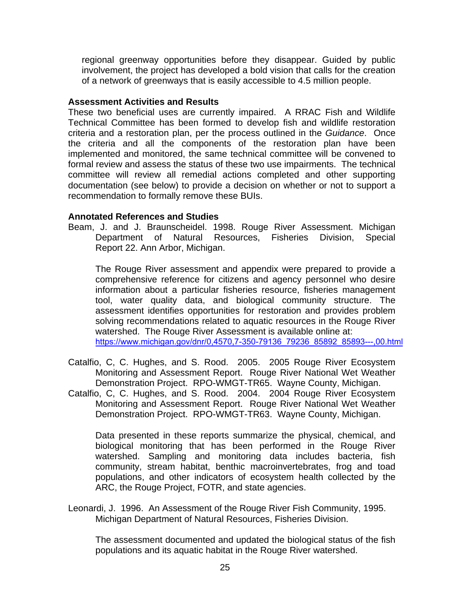regional greenway opportunities before they disappear. Guided by public involvement, the project has developed a bold vision that calls for the creation of a network of greenways that is easily accessible to 4.5 million people.

#### **Assessment Activities and Results**

These two beneficial uses are currently impaired. A RRAC Fish and Wildlife Technical Committee has been formed to develop fish and wildlife restoration criteria and a restoration plan, per the process outlined in the *Guidance*. Once the criteria and all the components of the restoration plan have been implemented and monitored, the same technical committee will be convened to formal review and assess the status of these two use impairments. The technical committee will review all remedial actions completed and other supporting documentation (see below) to provide a decision on whether or not to support a recommendation to formally remove these BUIs.

#### **Annotated References and Studies**

Beam, J. and J. Braunscheidel. 1998. Rouge River Assessment. Michigan Department of Natural Resources, Fisheries Division, Special Report 22. Ann Arbor, Michigan.

The Rouge River assessment and appendix were prepared to provide a comprehensive reference for citizens and agency personnel who desire information about a particular fisheries resource, fisheries management tool, water quality data, and biological community structure. The assessment identifies opportunities for restoration and provides problem solving recommendations related to aquatic resources in the Rouge River watershed. The Rouge River Assessment is available online at: [https://www.michigan.gov/dnr/0,4570,7-350-79136\\_79236\\_85892\\_85893---,00.html](https://www.michigan.gov/dnr/0,4570,7-350-79136_79236_85892_85893---,00.html)

- Catalfio, C, C. Hughes, and S. Rood. 2005. 2005 Rouge River Ecosystem Monitoring and Assessment Report. Rouge River National Wet Weather Demonstration Project. RPO-WMGT-TR65. Wayne County, Michigan.
- Catalfio, C, C. Hughes, and S. Rood. 2004. 2004 Rouge River Ecosystem Monitoring and Assessment Report. Rouge River National Wet Weather Demonstration Project. RPO-WMGT-TR63. Wayne County, Michigan.

Data presented in these reports summarize the physical, chemical, and biological monitoring that has been performed in the Rouge River watershed. Sampling and monitoring data includes bacteria, fish community, stream habitat, benthic macroinvertebrates, frog and toad populations, and other indicators of ecosystem health collected by the ARC, the Rouge Project, FOTR, and state agencies.

Leonardi, J. 1996. An Assessment of the Rouge River Fish Community, 1995. Michigan Department of Natural Resources, Fisheries Division.

The assessment documented and updated the biological status of the fish populations and its aquatic habitat in the Rouge River watershed.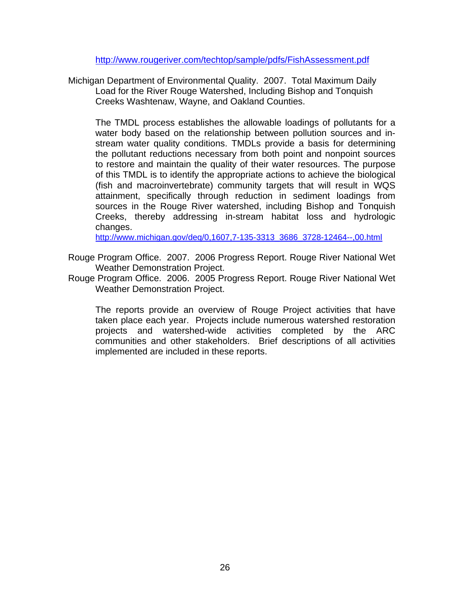<http://www.rougeriver.com/techtop/sample/pdfs/FishAssessment.pdf>

Michigan Department of Environmental Quality. 2007. Total Maximum Daily Load for the River Rouge Watershed, Including Bishop and Tonquish Creeks Washtenaw, Wayne, and Oakland Counties.

The TMDL process establishes the allowable loadings of pollutants for a water body based on the relationship between pollution sources and instream water quality conditions. TMDLs provide a basis for determining the pollutant reductions necessary from both point and nonpoint sources to restore and maintain the quality of their water resources. The purpose of this TMDL is to identify the appropriate actions to achieve the biological (fish and macroinvertebrate) community targets that will result in WQS attainment, specifically through reduction in sediment loadings from sources in the Rouge River watershed, including Bishop and Tonquish Creeks, thereby addressing in-stream habitat loss and hydrologic changes.

[http://www.michigan.gov/deq/0,1607,7-135-3313\\_3686\\_3728-12464--,00.html](http://www.michigan.gov/deq/0,1607,7-135-3313_3686_3728-12464--,00.html)

- Rouge Program Office. 2007. 2006 Progress Report. Rouge River National Wet Weather Demonstration Project.
- Rouge Program Office. 2006. 2005 Progress Report. Rouge River National Wet Weather Demonstration Project.

The reports provide an overview of Rouge Project activities that have taken place each year. Projects include numerous watershed restoration projects and watershed-wide activities completed by the ARC communities and other stakeholders. Brief descriptions of all activities implemented are included in these reports.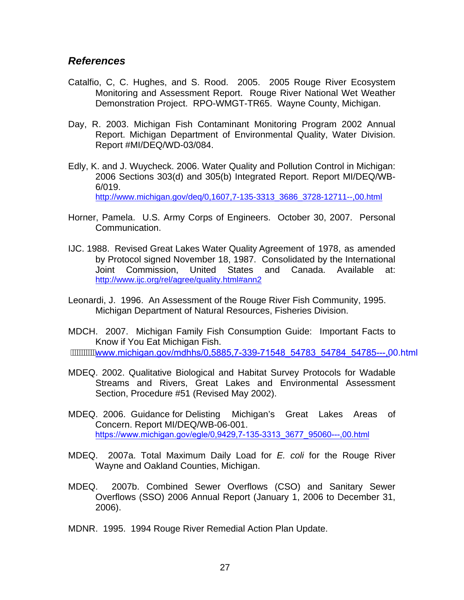#### *References*

- Catalfio, C, C. Hughes, and S. Rood. 2005. 2005 Rouge River Ecosystem Monitoring and Assessment Report. Rouge River National Wet Weather Demonstration Project. RPO-WMGT-TR65. Wayne County, Michigan.
- Day, R. 2003. Michigan Fish Contaminant Monitoring Program 2002 Annual Report. Michigan Department of Environmental Quality, Water Division. Report #MI/DEQ/WD-03/084.
- Edly, K. and J. Wuycheck. 2006. Water Quality and Pollution Control in Michigan: 2006 Sections 303(d) and 305(b) Integrated Report. Report MI/DEQ/WB- 6/019. [http://www.michigan.gov/deq/0,1607,7-135-3313\\_3686\\_3728-12711--,00.html](http://www.michigan.gov/deq/0,1607,7-135-3313_3686_3728-12711--,00.html)
- Horner, Pamela. U.S. Army Corps of Engineers. October 30, 2007. Personal Communication.
- IJC. 1988. Revised Great Lakes Water Quality Agreement of 1978, as amended by Protocol signed November 18, 1987. Consolidated by the International Joint Commission, United States and Canada. Available at: <http://www.ijc.org/rel/agree/quality.html#ann2>
- Leonardi, J. 1996. An Assessment of the Rouge River Fish Community, 1995. Michigan Department of Natural Resources, Fisheries Division.
- MDCH. 2007. Michigan Family Fish Consumption Guide: Important Facts to Know if You Eat Michigan Fish. [www.michigan.gov/mdhhs/0,5885,7-339-71548\\_54783\\_54784\\_54785---,0](http://www.michigan.gov/mdhhs/0,5885,7-339-71548_54783_54784_54785---,00.html)0.html
- MDEQ. 2002. Qualitative Biological and Habitat Survey Protocols for Wadable Streams and Rivers, Great Lakes and Environmental Assessment Section, Procedure #51 (Revised May 2002).
- MDEQ. 2006. Guidance for Delisting Michigan's Great Lakes Areas of Concern. Report MI/DEQ/WB-06-001. https://www.michigan.gov/egle/0,9429,7-135-3313\_3677\_95060---,00.html
- MDEQ. 2007a. Total Maximum Daily Load for *E. coli* for the Rouge River Wayne and Oakland Counties, Michigan.
- MDEQ. 2007b. Combined Sewer Overflows (CSO) and Sanitary Sewer Overflows (SSO) 2006 Annual Report (January 1, 2006 to December 31, 2006).
- MDNR. 1995. 1994 Rouge River Remedial Action Plan Update.